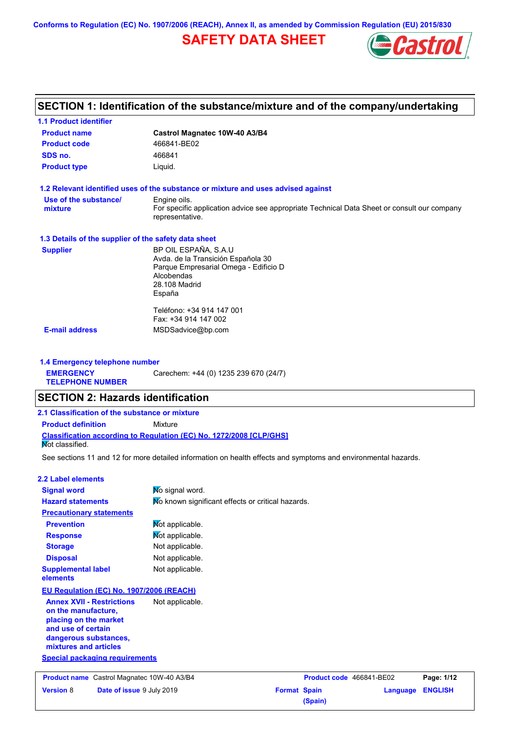**Conforms to Regulation (EC) No. 1907/2006 (REACH), Annex II, as amended by Commission Regulation (EU) 2015/830**

# **SAFETY DATA SHEET**



|                                                      | SECTION 1: Identification of the substance/mixture and of the company/undertaking                              |
|------------------------------------------------------|----------------------------------------------------------------------------------------------------------------|
| <b>1.1 Product identifier</b>                        |                                                                                                                |
| <b>Product name</b>                                  | Castrol Magnatec 10W-40 A3/B4                                                                                  |
| <b>Product code</b>                                  | 466841-BE02                                                                                                    |
| SDS no.                                              | 466841                                                                                                         |
| <b>Product type</b>                                  | Liquid.                                                                                                        |
|                                                      | 1.2 Relevant identified uses of the substance or mixture and uses advised against                              |
| Use of the substance/                                | Engine oils.                                                                                                   |
| mixture                                              | For specific application advice see appropriate Technical Data Sheet or consult our company<br>representative. |
| 1.3 Details of the supplier of the safety data sheet |                                                                                                                |
| <b>Supplier</b>                                      | BP OIL ESPAÑA, S.A.U                                                                                           |
|                                                      | Avda. de la Transición Española 30                                                                             |
|                                                      | Parque Empresarial Omega - Edificio D<br>Alcobendas                                                            |
|                                                      | 28.108 Madrid                                                                                                  |
|                                                      | España                                                                                                         |
|                                                      | Teléfono: +34 914 147 001                                                                                      |
|                                                      | Fax: +34 914 147 002                                                                                           |
| <b>E-mail address</b>                                | MSDSadvice@bp.com                                                                                              |
| 1.4 Emergency telephone number                       |                                                                                                                |
| <b>EMERGENCY</b>                                     | Carechem: +44 (0) 1235 239 670 (24/7)                                                                          |
| <b>TELEPHONE NUMBER</b>                              |                                                                                                                |
| <b>SECTION 2: Hazards identification</b>             |                                                                                                                |
| 2.1 Classification of the substance or mixture       |                                                                                                                |
| <b>Product definition</b>                            | Mixture                                                                                                        |
|                                                      | Classification according to Regulation (EC) No. 1272/2008 [CLP/GHS]                                            |
| Mot classified.                                      |                                                                                                                |

See sections 11 and 12 for more detailed information on health effects and symptoms and environmental hazards.

| <b>2.2 Label elements</b>                                                                                                                                |                                                   |                     |                          |          |                |
|----------------------------------------------------------------------------------------------------------------------------------------------------------|---------------------------------------------------|---------------------|--------------------------|----------|----------------|
| <b>Signal word</b>                                                                                                                                       | No signal word.                                   |                     |                          |          |                |
| <b>Hazard statements</b>                                                                                                                                 | No known significant effects or critical hazards. |                     |                          |          |                |
| <b>Precautionary statements</b>                                                                                                                          |                                                   |                     |                          |          |                |
| <b>Prevention</b>                                                                                                                                        | Not applicable.                                   |                     |                          |          |                |
| <b>Response</b>                                                                                                                                          | Not applicable.                                   |                     |                          |          |                |
| <b>Storage</b>                                                                                                                                           | Not applicable.                                   |                     |                          |          |                |
| <b>Disposal</b>                                                                                                                                          | Not applicable.                                   |                     |                          |          |                |
| <b>Supplemental label</b><br>elements                                                                                                                    | Not applicable.                                   |                     |                          |          |                |
| EU Regulation (EC) No. 1907/2006 (REACH)                                                                                                                 |                                                   |                     |                          |          |                |
| <b>Annex XVII - Restrictions</b><br>on the manufacture,<br>placing on the market<br>and use of certain<br>dangerous substances,<br>mixtures and articles | Not applicable.                                   |                     |                          |          |                |
| <b>Special packaging requirements</b>                                                                                                                    |                                                   |                     |                          |          |                |
|                                                                                                                                                          |                                                   |                     |                          |          |                |
| Product name Castrol Magnatec 10W-40 A3/B4                                                                                                               |                                                   |                     | Product code 466841-BE02 |          | Page: 1/12     |
| <b>Version 8</b><br>Date of issue 9 July 2019                                                                                                            |                                                   | <b>Format Spain</b> | (Spain)                  | Language | <b>ENGLISH</b> |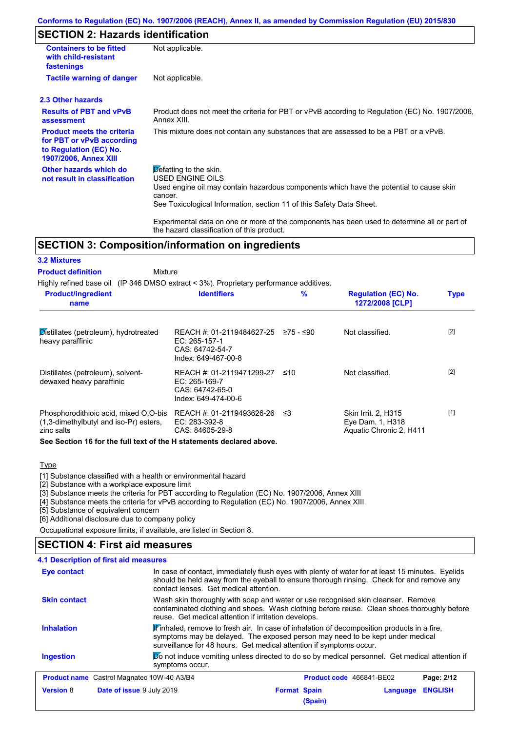## **SECTION 2: Hazards identification**

| <b>Containers to be fitted</b><br>with child-resistant<br>fastenings                                                     | Not applicable.                                                                                                                                                                                                          |
|--------------------------------------------------------------------------------------------------------------------------|--------------------------------------------------------------------------------------------------------------------------------------------------------------------------------------------------------------------------|
| <b>Tactile warning of danger</b>                                                                                         | Not applicable.                                                                                                                                                                                                          |
| 2.3 Other hazards                                                                                                        |                                                                                                                                                                                                                          |
| <b>Results of PBT and vPvB</b><br>assessment                                                                             | Product does not meet the criteria for PBT or vPvB according to Regulation (EC) No. 1907/2006,<br>Annex XIII.                                                                                                            |
| <b>Product meets the criteria</b><br>for PBT or vPvB according<br>to Regulation (EC) No.<br><b>1907/2006, Annex XIII</b> | This mixture does not contain any substances that are assessed to be a PBT or a vPvB.                                                                                                                                    |
| Other hazards which do<br>not result in classification                                                                   | Defatting to the skin.<br>USED ENGINE OILS<br>Used engine oil may contain hazardous components which have the potential to cause skin<br>cancer.<br>See Toxicological Information, section 11 of this Safety Data Sheet. |
|                                                                                                                          | Experimental data on one or more of the components has been used to determine all or part of                                                                                                                             |

## **SECTION 3: Composition/information on ingredients**

the hazard classification of this product.

| <b>3.2 Mixtures</b>                                                                           |                                                                                      |           |                                                                    |             |
|-----------------------------------------------------------------------------------------------|--------------------------------------------------------------------------------------|-----------|--------------------------------------------------------------------|-------------|
| <b>Product definition</b><br>Mixture                                                          |                                                                                      |           |                                                                    |             |
| Highly refined base oil (IP 346 DMSO extract $\lt$ 3%). Proprietary performance additives.    |                                                                                      |           |                                                                    |             |
| <b>Product/ingredient</b><br>name                                                             | <b>Identifiers</b>                                                                   | $\%$      | <b>Regulation (EC) No.</b><br>1272/2008 [CLP]                      | <b>Type</b> |
| Distillates (petroleum), hydrotreated<br>heavy paraffinic                                     | REACH #: 01-2119484627-25<br>EC: 265-157-1<br>CAS: 64742-54-7<br>Index: 649-467-00-8 | 275 - ≤90 | Not classified.                                                    | $[2]$       |
| Distillates (petroleum), solvent-<br>dewaxed heavy paraffinic                                 | REACH #: 01-2119471299-27<br>EC: 265-169-7<br>CAS: 64742-65-0<br>Index: 649-474-00-6 | ≤10       | Not classified.                                                    | $[2]$       |
| Phosphorodithioic acid, mixed O,O-bis<br>(1,3-dimethylbutyl and iso-Pr) esters,<br>zinc salts | REACH #: 01-2119493626-26<br>EC: 283-392-8<br>CAS: 84605-29-8                        | ≤3        | Skin Irrit. 2, H315<br>Eye Dam. 1, H318<br>Aquatic Chronic 2, H411 | $[1]$       |
| See Section 16 for the full text of the H statements declared above.                          |                                                                                      |           |                                                                    |             |

**Type** 

[1] Substance classified with a health or environmental hazard

[2] Substance with a workplace exposure limit

[3] Substance meets the criteria for PBT according to Regulation (EC) No. 1907/2006, Annex XIII

[4] Substance meets the criteria for vPvB according to Regulation (EC) No. 1907/2006, Annex XIII

[5] Substance of equivalent concern

[6] Additional disclosure due to company policy

Occupational exposure limits, if available, are listed in Section 8.

### **SECTION 4: First aid measures**

| 4.1 Description of first aid measures             |                                                                                                                                                                                                                                                   |  |  |  |  |
|---------------------------------------------------|---------------------------------------------------------------------------------------------------------------------------------------------------------------------------------------------------------------------------------------------------|--|--|--|--|
| <b>Eye contact</b>                                | In case of contact, immediately flush eyes with plenty of water for at least 15 minutes. Eyelids<br>should be held away from the eyeball to ensure thorough rinsing. Check for and remove any<br>contact lenses. Get medical attention.           |  |  |  |  |
| <b>Skin contact</b>                               | Wash skin thoroughly with soap and water or use recognised skin cleanser. Remove<br>contaminated clothing and shoes. Wash clothing before reuse. Clean shoes thoroughly before<br>reuse. Get medical attention if irritation develops.            |  |  |  |  |
| <b>Inhalation</b>                                 | Finhaled, remove to fresh air. In case of inhalation of decomposition products in a fire,<br>symptoms may be delayed. The exposed person may need to be kept under medical<br>surveillance for 48 hours. Get medical attention if symptoms occur. |  |  |  |  |
| <b>Ingestion</b>                                  | Do not induce vomiting unless directed to do so by medical personnel. Get medical attention if<br>symptoms occur.                                                                                                                                 |  |  |  |  |
| <b>Product name</b> Castrol Magnatec 10W-40 A3/B4 | Product code 466841-BE02<br>Page: 2/12                                                                                                                                                                                                            |  |  |  |  |
| Date of issue 9 July 2019<br><b>Version 8</b>     | <b>ENGLISH</b><br><b>Format Spain</b><br>Language<br>(Spain)                                                                                                                                                                                      |  |  |  |  |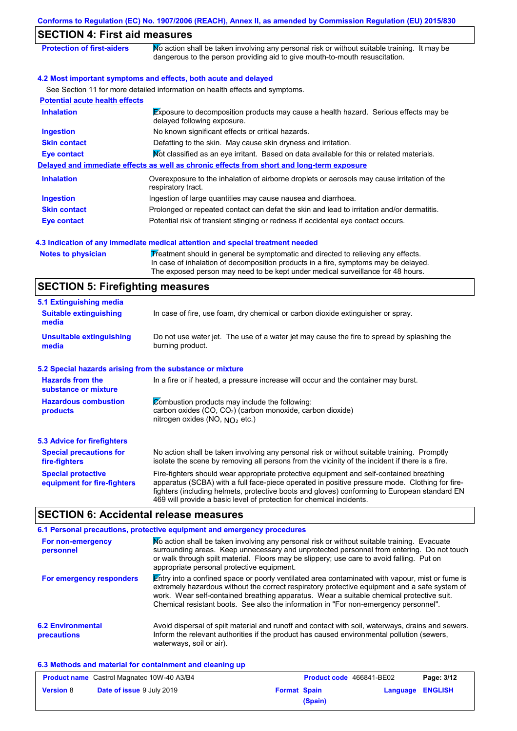| <b>SECTION 4: First aid measures</b>                      |                                                                                                                                                                                                                                                                                                                                                                   |
|-----------------------------------------------------------|-------------------------------------------------------------------------------------------------------------------------------------------------------------------------------------------------------------------------------------------------------------------------------------------------------------------------------------------------------------------|
| <b>Protection of first-aiders</b>                         | No action shall be taken involving any personal risk or without suitable training. It may be<br>dangerous to the person providing aid to give mouth-to-mouth resuscitation.                                                                                                                                                                                       |
|                                                           | 4.2 Most important symptoms and effects, both acute and delayed                                                                                                                                                                                                                                                                                                   |
|                                                           | See Section 11 for more detailed information on health effects and symptoms.                                                                                                                                                                                                                                                                                      |
| <b>Potential acute health effects</b>                     |                                                                                                                                                                                                                                                                                                                                                                   |
| <b>Inhalation</b>                                         | Exposure to decomposition products may cause a health hazard. Serious effects may be<br>delayed following exposure.                                                                                                                                                                                                                                               |
| <b>Ingestion</b>                                          | No known significant effects or critical hazards.                                                                                                                                                                                                                                                                                                                 |
| <b>Skin contact</b>                                       | Defatting to the skin. May cause skin dryness and irritation.                                                                                                                                                                                                                                                                                                     |
| <b>Eye contact</b>                                        | Not classified as an eye irritant. Based on data available for this or related materials.                                                                                                                                                                                                                                                                         |
|                                                           | Delayed and immediate effects as well as chronic effects from short and long-term exposure                                                                                                                                                                                                                                                                        |
| <b>Inhalation</b>                                         | Overexposure to the inhalation of airborne droplets or aerosols may cause irritation of the<br>respiratory tract.                                                                                                                                                                                                                                                 |
| <b>Ingestion</b>                                          | Ingestion of large quantities may cause nausea and diarrhoea.                                                                                                                                                                                                                                                                                                     |
| <b>Skin contact</b>                                       | Prolonged or repeated contact can defat the skin and lead to irritation and/or dermatitis.                                                                                                                                                                                                                                                                        |
| <b>Eye contact</b>                                        | Potential risk of transient stinging or redness if accidental eye contact occurs.                                                                                                                                                                                                                                                                                 |
|                                                           | 4.3 Indication of any immediate medical attention and special treatment needed                                                                                                                                                                                                                                                                                    |
| <b>Notes to physician</b>                                 | Treatment should in general be symptomatic and directed to relieving any effects.<br>In case of inhalation of decomposition products in a fire, symptoms may be delayed.<br>The exposed person may need to be kept under medical surveillance for 48 hours.                                                                                                       |
| <b>SECTION 5: Firefighting measures</b>                   |                                                                                                                                                                                                                                                                                                                                                                   |
| 5.1 Extinguishing media                                   |                                                                                                                                                                                                                                                                                                                                                                   |
| <b>Suitable extinguishing</b><br>media                    | In case of fire, use foam, dry chemical or carbon dioxide extinguisher or spray.                                                                                                                                                                                                                                                                                  |
| <b>Unsuitable extinguishing</b><br>media                  | Do not use water jet. The use of a water jet may cause the fire to spread by splashing the<br>burning product.                                                                                                                                                                                                                                                    |
| 5.2 Special hazards arising from the substance or mixture |                                                                                                                                                                                                                                                                                                                                                                   |
| <b>Hazards from the</b><br>substance or mixture           | In a fire or if heated, a pressure increase will occur and the container may burst.                                                                                                                                                                                                                                                                               |
| <b>Hazardous combustion</b><br>products                   | Combustion products may include the following:<br>carbon oxides (CO, CO <sub>2</sub> ) (carbon monoxide, carbon dioxide)<br>nitrogen oxides (NO, $NO2$ etc.)                                                                                                                                                                                                      |
| <b>5.3 Advice for firefighters</b>                        |                                                                                                                                                                                                                                                                                                                                                                   |
| <b>Special precautions for</b><br>fire-fighters           | No action shall be taken involving any personal risk or without suitable training. Promptly<br>isolate the scene by removing all persons from the vicinity of the incident if there is a fire.                                                                                                                                                                    |
| <b>Special protective</b><br>equipment for fire-fighters  | Fire-fighters should wear appropriate protective equipment and self-contained breathing<br>apparatus (SCBA) with a full face-piece operated in positive pressure mode. Clothing for fire-<br>fighters (including helmets, protective boots and gloves) conforming to European standard EN<br>469 will provide a basic level of protection for chemical incidents. |

# **SECTION 6: Accidental release measures**

|                                         | 6.1 Personal precautions, protective equipment and emergency procedures                                                                                                                                                                                                                                                                                                              |
|-----------------------------------------|--------------------------------------------------------------------------------------------------------------------------------------------------------------------------------------------------------------------------------------------------------------------------------------------------------------------------------------------------------------------------------------|
| For non-emergency<br>personnel          | No action shall be taken involving any personal risk or without suitable training. Evacuate<br>surrounding areas. Keep unnecessary and unprotected personnel from entering. Do not touch<br>or walk through spilt material. Floors may be slippery; use care to avoid falling. Put on<br>appropriate personal protective equipment.                                                  |
| For emergency responders                | Entry into a confined space or poorly ventilated area contaminated with vapour, mist or fume is<br>extremely hazardous without the correct respiratory protective equipment and a safe system of<br>work. Wear self-contained breathing apparatus. Wear a suitable chemical protective suit.<br>Chemical resistant boots. See also the information in "For non-emergency personnel". |
| <b>6.2 Environmental</b><br>precautions | Avoid dispersal of spilt material and runoff and contact with soil, waterways, drains and sewers.<br>Inform the relevant authorities if the product has caused environmental pollution (sewers,<br>waterways, soil or air).                                                                                                                                                          |

### **6.3 Methods and material for containment and cleaning up**

|                  | <b>Product name</b> Castrol Magnatec 10W-40 A3/B4 |                     |         | <b>Product code</b> 466841-BE02 | Page: 3/12     |
|------------------|---------------------------------------------------|---------------------|---------|---------------------------------|----------------|
| <b>Version 8</b> | <b>Date of issue 9 July 2019</b>                  | <b>Format Spain</b> |         | Language                        | <b>ENGLISH</b> |
|                  |                                                   |                     | (Spain) |                                 |                |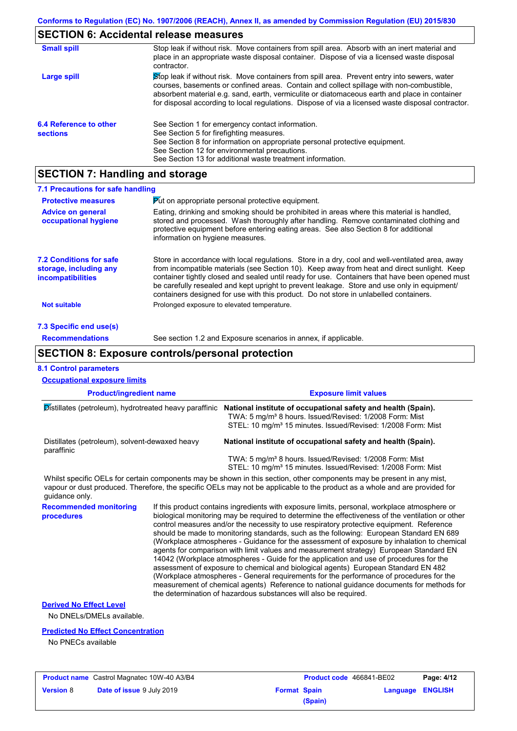### **SECTION 6: Accidental release measures**

| <b>Small spill</b>                        | Stop leak if without risk. Move containers from spill area. Absorb with an inert material and<br>place in an appropriate waste disposal container. Dispose of via a licensed waste disposal<br>contractor.                                                                                                                                                                                     |
|-------------------------------------------|------------------------------------------------------------------------------------------------------------------------------------------------------------------------------------------------------------------------------------------------------------------------------------------------------------------------------------------------------------------------------------------------|
| Large spill                               | Stop leak if without risk. Move containers from spill area. Prevent entry into sewers, water<br>courses, basements or confined areas. Contain and collect spillage with non-combustible,<br>absorbent material e.g. sand, earth, vermiculite or diatomaceous earth and place in container<br>for disposal according to local regulations. Dispose of via a licensed waste disposal contractor. |
| 6.4 Reference to other<br><b>sections</b> | See Section 1 for emergency contact information.<br>See Section 5 for firefighting measures.<br>See Section 8 for information on appropriate personal protective equipment.<br>See Section 12 for environmental precautions.<br>See Section 13 for additional waste treatment information.                                                                                                     |

## **SECTION 7: Handling and storage**

| 7.1 Precautions for safe handling                                             |                                                                                                                                                                                                                                                                                                                                                                                                                                                                                          |
|-------------------------------------------------------------------------------|------------------------------------------------------------------------------------------------------------------------------------------------------------------------------------------------------------------------------------------------------------------------------------------------------------------------------------------------------------------------------------------------------------------------------------------------------------------------------------------|
| <b>Protective measures</b>                                                    | <b>Put on appropriate personal protective equipment.</b>                                                                                                                                                                                                                                                                                                                                                                                                                                 |
| <b>Advice on general</b><br>occupational hygiene                              | Eating, drinking and smoking should be prohibited in areas where this material is handled,<br>stored and processed. Wash thoroughly after handling. Remove contaminated clothing and<br>protective equipment before entering eating areas. See also Section 8 for additional<br>information on hygiene measures.                                                                                                                                                                         |
| <b>7.2 Conditions for safe</b><br>storage, including any<br>incompatibilities | Store in accordance with local regulations. Store in a dry, cool and well-ventilated area, away<br>from incompatible materials (see Section 10). Keep away from heat and direct sunlight. Keep<br>container tightly closed and sealed until ready for use. Containers that have been opened must<br>be carefully resealed and kept upright to prevent leakage. Store and use only in equipment/<br>containers designed for use with this product. Do not store in unlabelled containers. |
| <b>Not suitable</b>                                                           | Prolonged exposure to elevated temperature.                                                                                                                                                                                                                                                                                                                                                                                                                                              |
| 7.3 Specific end use(s)                                                       |                                                                                                                                                                                                                                                                                                                                                                                                                                                                                          |
| <b>Recommendations</b>                                                        | See section 1.2 and Exposure scenarios in annex, if applicable.                                                                                                                                                                                                                                                                                                                                                                                                                          |

### **SECTION 8: Exposure controls/personal protection**

#### **Product/ingredient name Exposure limit values Recommended monitoring procedures** If this product contains ingredients with exposure limits, personal, workplace atmosphere or biological monitoring may be required to determine the effectiveness of the ventilation or other control measures and/or the necessity to use respiratory protective equipment. Reference should be made to monitoring standards, such as the following: European Standard EN 689 (Workplace atmospheres - Guidance for the assessment of exposure by inhalation to chemical agents for comparison with limit values and measurement strategy) European Standard EN 14042 (Workplace atmospheres - Guide for the application and use of procedures for the assessment of exposure to chemical and biological agents) European Standard EN 482 (Workplace atmospheres - General requirements for the performance of procedures for the measurement of chemical agents) Reference to national guidance documents for methods for the determination of hazardous substances will also be required. No DNELs/DMELs available. **Predicted No Effect Concentration** No PNECs available **8.1 Control parameters Derived No Effect Level** Whilst specific OELs for certain components may be shown in this section, other components may be present in any mist, vapour or dust produced. Therefore, the specific OELs may not be applicable to the product as a whole and are provided for guidance only. **Occupational exposure limits** Distillates (petroleum), hydrotreated heavy paraffinic **National institute of occupational safety and health (Spain).** TWA: 5 mg/m³ 8 hours. Issued/Revised: 1/2008 Form: Mist STEL: 10 mg/m<sup>3</sup> 15 minutes. Issued/Revised: 1/2008 Form: Mist Distillates (petroleum), solvent-dewaxed heavy paraffinic **National institute of occupational safety and health (Spain).** TWA: 5 mg/m<sup>3</sup> 8 hours. Issued/Revised: 1/2008 Form: Mist STEL: 10 mg/m<sup>3</sup> 15 minutes. Issued/Revised: 1/2008 Form: Mist

|                  | <b>Product name</b> Castrol Magnatec 10W-40 A3/B4 |                     | <b>Product code</b> 466841-BE02 |                  | Page: 4/12 |
|------------------|---------------------------------------------------|---------------------|---------------------------------|------------------|------------|
| <b>Version 8</b> | <b>Date of issue 9 July 2019</b>                  | <b>Format Spain</b> |                                 | Language ENGLISH |            |
|                  |                                                   |                     | (Spain)                         |                  |            |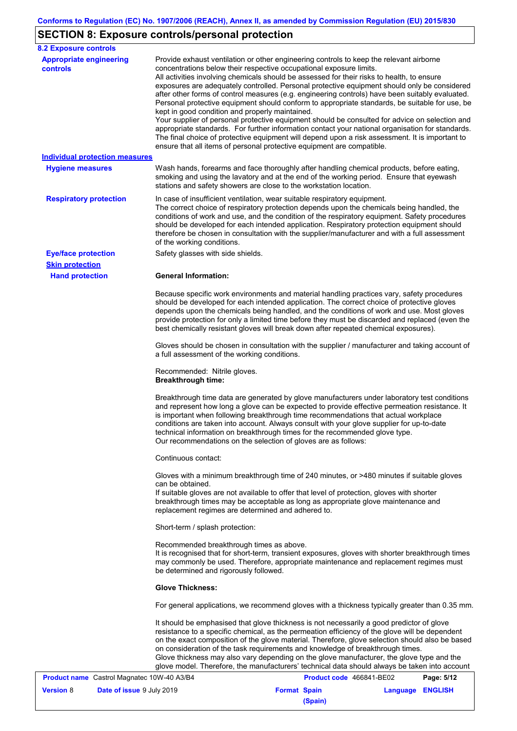# **SECTION 8: Exposure controls/personal protection**

| <b>8.2 Exposure controls</b>                  |                                                                                                                                                                                                                                                                                                                                                                                                                                                                                                                                                                                                                                                                                                                                                                                                                                                                                                                                                                                                         |                          |                  |            |  |  |
|-----------------------------------------------|---------------------------------------------------------------------------------------------------------------------------------------------------------------------------------------------------------------------------------------------------------------------------------------------------------------------------------------------------------------------------------------------------------------------------------------------------------------------------------------------------------------------------------------------------------------------------------------------------------------------------------------------------------------------------------------------------------------------------------------------------------------------------------------------------------------------------------------------------------------------------------------------------------------------------------------------------------------------------------------------------------|--------------------------|------------------|------------|--|--|
| <b>Appropriate engineering</b><br>controls    | Provide exhaust ventilation or other engineering controls to keep the relevant airborne<br>concentrations below their respective occupational exposure limits.<br>All activities involving chemicals should be assessed for their risks to health, to ensure<br>exposures are adequately controlled. Personal protective equipment should only be considered<br>after other forms of control measures (e.g. engineering controls) have been suitably evaluated.<br>Personal protective equipment should conform to appropriate standards, be suitable for use, be<br>kept in good condition and properly maintained.<br>Your supplier of personal protective equipment should be consulted for advice on selection and<br>appropriate standards. For further information contact your national organisation for standards.<br>The final choice of protective equipment will depend upon a risk assessment. It is important to<br>ensure that all items of personal protective equipment are compatible. |                          |                  |            |  |  |
| <b>Individual protection measures</b>         |                                                                                                                                                                                                                                                                                                                                                                                                                                                                                                                                                                                                                                                                                                                                                                                                                                                                                                                                                                                                         |                          |                  |            |  |  |
| <b>Hygiene measures</b>                       | Wash hands, forearms and face thoroughly after handling chemical products, before eating,<br>smoking and using the lavatory and at the end of the working period. Ensure that eyewash<br>stations and safety showers are close to the workstation location.                                                                                                                                                                                                                                                                                                                                                                                                                                                                                                                                                                                                                                                                                                                                             |                          |                  |            |  |  |
| <b>Respiratory protection</b>                 | In case of insufficient ventilation, wear suitable respiratory equipment.<br>The correct choice of respiratory protection depends upon the chemicals being handled, the<br>conditions of work and use, and the condition of the respiratory equipment. Safety procedures<br>should be developed for each intended application. Respiratory protection equipment should<br>therefore be chosen in consultation with the supplier/manufacturer and with a full assessment<br>of the working conditions.                                                                                                                                                                                                                                                                                                                                                                                                                                                                                                   |                          |                  |            |  |  |
| <b>Eye/face protection</b>                    | Safety glasses with side shields.                                                                                                                                                                                                                                                                                                                                                                                                                                                                                                                                                                                                                                                                                                                                                                                                                                                                                                                                                                       |                          |                  |            |  |  |
| <b>Skin protection</b>                        |                                                                                                                                                                                                                                                                                                                                                                                                                                                                                                                                                                                                                                                                                                                                                                                                                                                                                                                                                                                                         |                          |                  |            |  |  |
| <b>Hand protection</b>                        | <b>General Information:</b>                                                                                                                                                                                                                                                                                                                                                                                                                                                                                                                                                                                                                                                                                                                                                                                                                                                                                                                                                                             |                          |                  |            |  |  |
|                                               | Because specific work environments and material handling practices vary, safety procedures<br>should be developed for each intended application. The correct choice of protective gloves<br>depends upon the chemicals being handled, and the conditions of work and use. Most gloves<br>provide protection for only a limited time before they must be discarded and replaced (even the<br>best chemically resistant gloves will break down after repeated chemical exposures).                                                                                                                                                                                                                                                                                                                                                                                                                                                                                                                        |                          |                  |            |  |  |
|                                               | Gloves should be chosen in consultation with the supplier / manufacturer and taking account of<br>a full assessment of the working conditions.                                                                                                                                                                                                                                                                                                                                                                                                                                                                                                                                                                                                                                                                                                                                                                                                                                                          |                          |                  |            |  |  |
|                                               | Recommended: Nitrile gloves.<br><b>Breakthrough time:</b>                                                                                                                                                                                                                                                                                                                                                                                                                                                                                                                                                                                                                                                                                                                                                                                                                                                                                                                                               |                          |                  |            |  |  |
|                                               | Breakthrough time data are generated by glove manufacturers under laboratory test conditions<br>and represent how long a glove can be expected to provide effective permeation resistance. It<br>is important when following breakthrough time recommendations that actual workplace<br>conditions are taken into account. Always consult with your glove supplier for up-to-date<br>technical information on breakthrough times for the recommended glove type.<br>Our recommendations on the selection of gloves are as follows:                                                                                                                                                                                                                                                                                                                                                                                                                                                                      |                          |                  |            |  |  |
|                                               | Continuous contact:                                                                                                                                                                                                                                                                                                                                                                                                                                                                                                                                                                                                                                                                                                                                                                                                                                                                                                                                                                                     |                          |                  |            |  |  |
|                                               | Gloves with a minimum breakthrough time of 240 minutes, or >480 minutes if suitable gloves<br>can be obtained.<br>If suitable gloves are not available to offer that level of protection, gloves with shorter<br>breakthrough times may be acceptable as long as appropriate glove maintenance and<br>replacement regimes are determined and adhered to.                                                                                                                                                                                                                                                                                                                                                                                                                                                                                                                                                                                                                                                |                          |                  |            |  |  |
|                                               | Short-term / splash protection:                                                                                                                                                                                                                                                                                                                                                                                                                                                                                                                                                                                                                                                                                                                                                                                                                                                                                                                                                                         |                          |                  |            |  |  |
|                                               | Recommended breakthrough times as above.<br>It is recognised that for short-term, transient exposures, gloves with shorter breakthrough times<br>may commonly be used. Therefore, appropriate maintenance and replacement regimes must<br>be determined and rigorously followed.                                                                                                                                                                                                                                                                                                                                                                                                                                                                                                                                                                                                                                                                                                                        |                          |                  |            |  |  |
|                                               | <b>Glove Thickness:</b>                                                                                                                                                                                                                                                                                                                                                                                                                                                                                                                                                                                                                                                                                                                                                                                                                                                                                                                                                                                 |                          |                  |            |  |  |
|                                               | For general applications, we recommend gloves with a thickness typically greater than 0.35 mm.                                                                                                                                                                                                                                                                                                                                                                                                                                                                                                                                                                                                                                                                                                                                                                                                                                                                                                          |                          |                  |            |  |  |
|                                               | It should be emphasised that glove thickness is not necessarily a good predictor of glove<br>resistance to a specific chemical, as the permeation efficiency of the glove will be dependent<br>on the exact composition of the glove material. Therefore, glove selection should also be based<br>on consideration of the task requirements and knowledge of breakthrough times.<br>Glove thickness may also vary depending on the glove manufacturer, the glove type and the<br>glove model. Therefore, the manufacturers' technical data should always be taken into account                                                                                                                                                                                                                                                                                                                                                                                                                          |                          |                  |            |  |  |
| Product name Castrol Magnatec 10W-40 A3/B4    |                                                                                                                                                                                                                                                                                                                                                                                                                                                                                                                                                                                                                                                                                                                                                                                                                                                                                                                                                                                                         | Product code 466841-BE02 |                  | Page: 5/12 |  |  |
| <b>Version 8</b><br>Date of issue 9 July 2019 |                                                                                                                                                                                                                                                                                                                                                                                                                                                                                                                                                                                                                                                                                                                                                                                                                                                                                                                                                                                                         | <b>Format Spain</b>      | Language ENGLISH |            |  |  |

**(Spain)**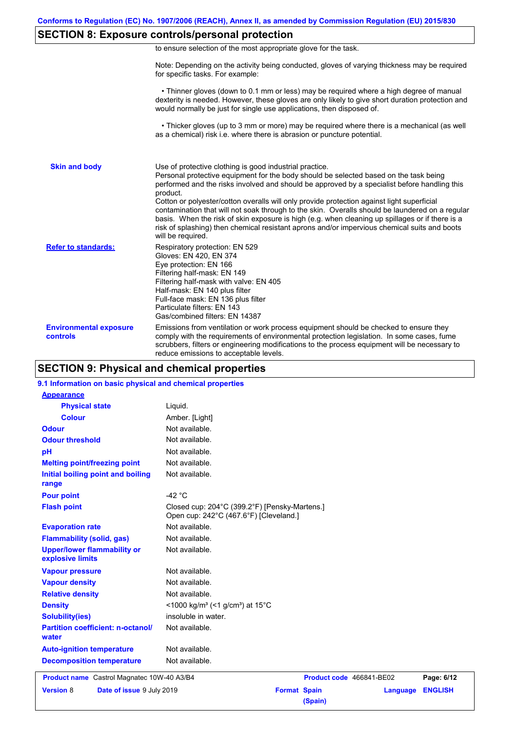## **SECTION 8: Exposure controls/personal protection**

|  | to ensure selection of the most appropriate glove for the task. |  |  |  |  |
|--|-----------------------------------------------------------------|--|--|--|--|
|  |                                                                 |  |  |  |  |

Note: Depending on the activity being conducted, gloves of varying thickness may be required for specific tasks. For example:

 • Thinner gloves (down to 0.1 mm or less) may be required where a high degree of manual dexterity is needed. However, these gloves are only likely to give short duration protection and would normally be just for single use applications, then disposed of.

 • Thicker gloves (up to 3 mm or more) may be required where there is a mechanical (as well as a chemical) risk i.e. where there is abrasion or puncture potential.

| <b>Skin and body</b>                             | Use of protective clothing is good industrial practice.<br>Personal protective equipment for the body should be selected based on the task being<br>performed and the risks involved and should be approved by a specialist before handling this<br>product.<br>Cotton or polyester/cotton overalls will only provide protection against light superficial<br>contamination that will not soak through to the skin. Overalls should be laundered on a regular<br>basis. When the risk of skin exposure is high (e.g. when cleaning up spillages or if there is a<br>risk of splashing) then chemical resistant aprons and/or impervious chemical suits and boots<br>will be required. |
|--------------------------------------------------|---------------------------------------------------------------------------------------------------------------------------------------------------------------------------------------------------------------------------------------------------------------------------------------------------------------------------------------------------------------------------------------------------------------------------------------------------------------------------------------------------------------------------------------------------------------------------------------------------------------------------------------------------------------------------------------|
| <b>Refer to standards:</b>                       | Respiratory protection: EN 529<br>Gloves: EN 420, EN 374<br>Eye protection: EN 166<br>Filtering half-mask: EN 149<br>Filtering half-mask with valve: EN 405<br>Half-mask: EN 140 plus filter<br>Full-face mask: EN 136 plus filter<br>Particulate filters: EN 143<br>Gas/combined filters: EN 14387                                                                                                                                                                                                                                                                                                                                                                                   |
| <b>Environmental exposure</b><br><b>controls</b> | Emissions from ventilation or work process equipment should be checked to ensure they<br>comply with the requirements of environmental protection legislation. In some cases, fume<br>scrubbers, filters or engineering modifications to the process equipment will be necessary to<br>reduce emissions to acceptable levels.                                                                                                                                                                                                                                                                                                                                                         |

### **SECTION 9: Physical and chemical properties**

#### **9.1 Information on basic physical and chemical properties**

| <b>Appearance</b>                                      |                                                                                         |                          |          |                |
|--------------------------------------------------------|-----------------------------------------------------------------------------------------|--------------------------|----------|----------------|
| <b>Physical state</b>                                  | Liquid.                                                                                 |                          |          |                |
| <b>Colour</b>                                          | Amber. [Light]                                                                          |                          |          |                |
| <b>Odour</b>                                           | Not available.                                                                          |                          |          |                |
| <b>Odour threshold</b>                                 | Not available.                                                                          |                          |          |                |
| pH                                                     | Not available.                                                                          |                          |          |                |
| <b>Melting point/freezing point</b>                    | Not available.                                                                          |                          |          |                |
| Initial boiling point and boiling<br>range             | Not available.                                                                          |                          |          |                |
| <b>Pour point</b>                                      | -42 $\degree$ C                                                                         |                          |          |                |
| <b>Flash point</b>                                     | Closed cup: 204°C (399.2°F) [Pensky-Martens.]<br>Open cup: 242°C (467.6°F) [Cleveland.] |                          |          |                |
| <b>Evaporation rate</b>                                | Not available.                                                                          |                          |          |                |
| <b>Flammability (solid, gas)</b>                       | Not available.                                                                          |                          |          |                |
| <b>Upper/lower flammability or</b><br>explosive limits | Not available.                                                                          |                          |          |                |
| <b>Vapour pressure</b>                                 | Not available.                                                                          |                          |          |                |
| <b>Vapour density</b>                                  | Not available.                                                                          |                          |          |                |
| <b>Relative density</b>                                | Not available.                                                                          |                          |          |                |
| <b>Density</b>                                         | <1000 kg/m <sup>3</sup> (<1 g/cm <sup>3</sup> ) at 15 <sup>°</sup> C                    |                          |          |                |
| <b>Solubility(ies)</b>                                 | insoluble in water.                                                                     |                          |          |                |
| <b>Partition coefficient: n-octanol/</b><br>water      | Not available.                                                                          |                          |          |                |
| <b>Auto-ignition temperature</b>                       | Not available.                                                                          |                          |          |                |
| <b>Decomposition temperature</b>                       | Not available.                                                                          |                          |          |                |
| Product name Castrol Magnatec 10W-40 A3/B4             |                                                                                         | Product code 466841-BE02 |          | Page: 6/12     |
| <b>Version 8</b><br>Date of issue 9 July 2019          | <b>Format Spain</b>                                                                     |                          | Language | <b>ENGLISH</b> |
|                                                        |                                                                                         | (Spain)                  |          |                |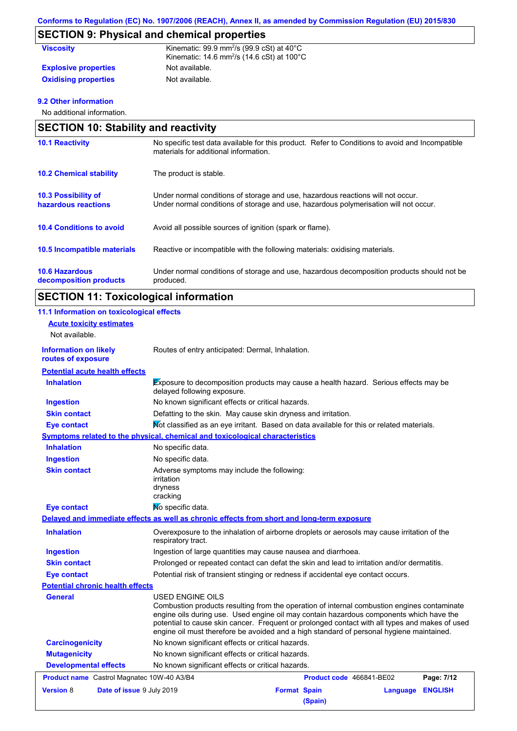# **SECTION 9: Physical and chemical properties**

| <b>Viscosity</b>            | Kinematic: $99.9$ mm <sup>2</sup> /s ( $99.9$ cSt) at $40^{\circ}$ C<br>Kinematic: 14.6 mm <sup>2</sup> /s (14.6 cSt) at $100^{\circ}$ C |
|-----------------------------|------------------------------------------------------------------------------------------------------------------------------------------|
| <b>Explosive properties</b> | Not available.                                                                                                                           |
| <b>Oxidising properties</b> | Not available.                                                                                                                           |

#### **9.2 Other information**

No additional information.

| <b>SECTION 10: Stability and reactivity</b>     |                                                                                                                                                                         |  |  |  |
|-------------------------------------------------|-------------------------------------------------------------------------------------------------------------------------------------------------------------------------|--|--|--|
| <b>10.1 Reactivity</b>                          | No specific test data available for this product. Refer to Conditions to avoid and Incompatible<br>materials for additional information.                                |  |  |  |
| <b>10.2 Chemical stability</b>                  | The product is stable.                                                                                                                                                  |  |  |  |
| 10.3 Possibility of<br>hazardous reactions      | Under normal conditions of storage and use, hazardous reactions will not occur.<br>Under normal conditions of storage and use, hazardous polymerisation will not occur. |  |  |  |
| <b>10.4 Conditions to avoid</b>                 | Avoid all possible sources of ignition (spark or flame).                                                                                                                |  |  |  |
| 10.5 Incompatible materials                     | Reactive or incompatible with the following materials: oxidising materials.                                                                                             |  |  |  |
| <b>10.6 Hazardous</b><br>decomposition products | Under normal conditions of storage and use, hazardous decomposition products should not be<br>produced.                                                                 |  |  |  |

# **SECTION 11: Toxicological information**

| 11.1 Information on toxicological effects            |                                                                                                                                                                                                                                                                                                                                                                                                          |                                |                          |          |                |
|------------------------------------------------------|----------------------------------------------------------------------------------------------------------------------------------------------------------------------------------------------------------------------------------------------------------------------------------------------------------------------------------------------------------------------------------------------------------|--------------------------------|--------------------------|----------|----------------|
| <b>Acute toxicity estimates</b>                      |                                                                                                                                                                                                                                                                                                                                                                                                          |                                |                          |          |                |
| Not available.                                       |                                                                                                                                                                                                                                                                                                                                                                                                          |                                |                          |          |                |
| <b>Information on likely</b><br>routes of exposure   | Routes of entry anticipated: Dermal, Inhalation.                                                                                                                                                                                                                                                                                                                                                         |                                |                          |          |                |
| <b>Potential acute health effects</b>                |                                                                                                                                                                                                                                                                                                                                                                                                          |                                |                          |          |                |
| <b>Inhalation</b>                                    | Exposure to decomposition products may cause a health hazard. Serious effects may be<br>delayed following exposure.                                                                                                                                                                                                                                                                                      |                                |                          |          |                |
| <b>Ingestion</b>                                     | No known significant effects or critical hazards.                                                                                                                                                                                                                                                                                                                                                        |                                |                          |          |                |
| <b>Skin contact</b>                                  | Defatting to the skin. May cause skin dryness and irritation.                                                                                                                                                                                                                                                                                                                                            |                                |                          |          |                |
| <b>Eye contact</b>                                   | Mot classified as an eye irritant. Based on data available for this or related materials.                                                                                                                                                                                                                                                                                                                |                                |                          |          |                |
|                                                      | Symptoms related to the physical, chemical and toxicological characteristics                                                                                                                                                                                                                                                                                                                             |                                |                          |          |                |
| <b>Inhalation</b>                                    | No specific data.                                                                                                                                                                                                                                                                                                                                                                                        |                                |                          |          |                |
| <b>Ingestion</b>                                     | No specific data.                                                                                                                                                                                                                                                                                                                                                                                        |                                |                          |          |                |
| <b>Skin contact</b>                                  | Adverse symptoms may include the following:<br>irritation<br>dryness<br>cracking                                                                                                                                                                                                                                                                                                                         |                                |                          |          |                |
| <b>Eye contact</b>                                   | No specific data.                                                                                                                                                                                                                                                                                                                                                                                        |                                |                          |          |                |
|                                                      | Delayed and immediate effects as well as chronic effects from short and long-term exposure                                                                                                                                                                                                                                                                                                               |                                |                          |          |                |
| <b>Inhalation</b>                                    | Overexposure to the inhalation of airborne droplets or aerosols may cause irritation of the<br>respiratory tract.                                                                                                                                                                                                                                                                                        |                                |                          |          |                |
| <b>Ingestion</b>                                     | Ingestion of large quantities may cause nausea and diarrhoea.                                                                                                                                                                                                                                                                                                                                            |                                |                          |          |                |
| <b>Skin contact</b>                                  | Prolonged or repeated contact can defat the skin and lead to irritation and/or dermatitis.                                                                                                                                                                                                                                                                                                               |                                |                          |          |                |
| <b>Eye contact</b>                                   | Potential risk of transient stinging or redness if accidental eye contact occurs.                                                                                                                                                                                                                                                                                                                        |                                |                          |          |                |
| <b>Potential chronic health effects</b>              |                                                                                                                                                                                                                                                                                                                                                                                                          |                                |                          |          |                |
| General                                              | USED ENGINE OILS<br>Combustion products resulting from the operation of internal combustion engines contaminate<br>engine oils during use. Used engine oil may contain hazardous components which have the<br>potential to cause skin cancer. Frequent or prolonged contact with all types and makes of used<br>engine oil must therefore be avoided and a high standard of personal hygiene maintained. |                                |                          |          |                |
| <b>Carcinogenicity</b>                               | No known significant effects or critical hazards.                                                                                                                                                                                                                                                                                                                                                        |                                |                          |          |                |
| <b>Mutagenicity</b>                                  | No known significant effects or critical hazards.                                                                                                                                                                                                                                                                                                                                                        |                                |                          |          |                |
| <b>Developmental effects</b>                         | No known significant effects or critical hazards.                                                                                                                                                                                                                                                                                                                                                        |                                |                          |          |                |
| Product name Castrol Magnatec 10W-40 A3/B4           |                                                                                                                                                                                                                                                                                                                                                                                                          |                                | Product code 466841-BE02 |          | Page: 7/12     |
| <b>Version 8</b><br><b>Date of issue 9 July 2019</b> |                                                                                                                                                                                                                                                                                                                                                                                                          | <b>Format Spain</b><br>(Spain) |                          | Language | <b>ENGLISH</b> |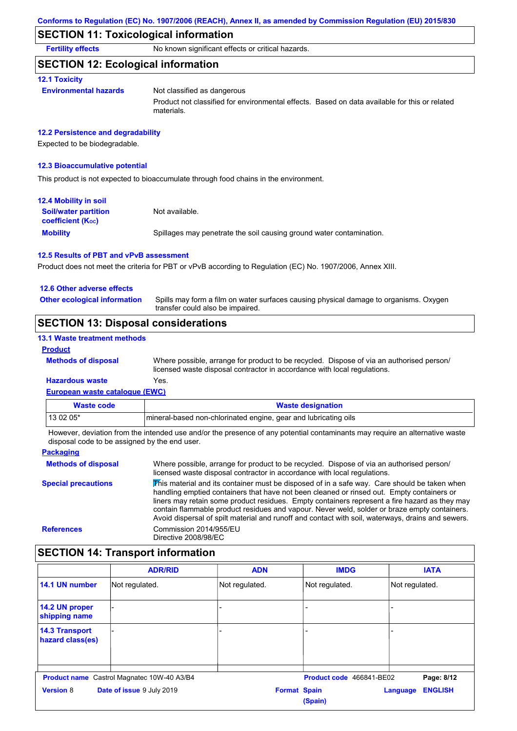### **SECTION 11: Toxicological information**

**Fertility effects** No known significant effects or critical hazards.

### **SECTION 12: Ecological information**

#### **12.1 Toxicity**

**Environmental hazards** Not classified as dangerous

Product not classified for environmental effects. Based on data available for this or related materials.

#### **12.2 Persistence and degradability**

Expected to be biodegradable.

#### **12.3 Bioaccumulative potential**

This product is not expected to bioaccumulate through food chains in the environment.

| <b>12.4 Mobility in soil</b>                            |                                                                      |
|---------------------------------------------------------|----------------------------------------------------------------------|
| <b>Soil/water partition</b><br><b>coefficient (Koc)</b> | Not available.                                                       |
| <b>Mobility</b>                                         | Spillages may penetrate the soil causing ground water contamination. |

#### **12.5 Results of PBT and vPvB assessment**

Product does not meet the criteria for PBT or vPvB according to Regulation (EC) No. 1907/2006, Annex XIII.

#### **12.6 Other adverse effects**

Spills may form a film on water surfaces causing physical damage to organisms. Oxygen transfer could also be impaired. **Other ecological information**

### **SECTION 13: Disposal considerations**

#### **13.1 Waste treatment methods**

**Methods of disposal**

#### **Product**

Where possible, arrange for product to be recycled. Dispose of via an authorised person/ licensed waste disposal contractor in accordance with local regulations.

#### **European waste catalogue (EWC) Hazardous waste** Yes.

| <b>Waste code</b>                                                                                                           | <b>Waste designation</b>                                        |  |
|-----------------------------------------------------------------------------------------------------------------------------|-----------------------------------------------------------------|--|
| $130205*$                                                                                                                   | mineral-based non-chlorinated engine, gear and lubricating oils |  |
| I leureus deviation from the intended use onalize the presence of onunatedial septeminante mourreautre on elternative words |                                                                 |  |

However, deviation from the intended use and/or the presence of any potential contaminants may require an alternative waste disposal code to be assigned by the end user.

| <b>Packaging</b>           |                                                                                                                                                                                                                                                                                                                                                                                                                                                                                                 |
|----------------------------|-------------------------------------------------------------------------------------------------------------------------------------------------------------------------------------------------------------------------------------------------------------------------------------------------------------------------------------------------------------------------------------------------------------------------------------------------------------------------------------------------|
| <b>Methods of disposal</b> | Where possible, arrange for product to be recycled. Dispose of via an authorised person/<br>licensed waste disposal contractor in accordance with local regulations.                                                                                                                                                                                                                                                                                                                            |
| <b>Special precautions</b> | This material and its container must be disposed of in a safe way. Care should be taken when<br>handling emptied containers that have not been cleaned or rinsed out. Empty containers or<br>liners may retain some product residues. Empty containers represent a fire hazard as they may<br>contain flammable product residues and vapour. Never weld, solder or braze empty containers.<br>Avoid dispersal of spilt material and runoff and contact with soil, waterways, drains and sewers. |
| <b>References</b>          | Commission 2014/955/EU<br>Directive 2008/98/EC                                                                                                                                                                                                                                                                                                                                                                                                                                                  |
|                            |                                                                                                                                                                                                                                                                                                                                                                                                                                                                                                 |

# **SECTION 14: Transport information**

|                                           | <b>ADR/RID</b>                                    | <b>ADN</b>          | <b>IMDG</b>              | <b>IATA</b>                |
|-------------------------------------------|---------------------------------------------------|---------------------|--------------------------|----------------------------|
| 14.1 UN number                            | Not regulated.                                    | Not regulated.      | Not regulated.           | Not regulated.             |
| 14.2 UN proper<br>shipping name           |                                                   |                     |                          |                            |
| <b>14.3 Transport</b><br>hazard class(es) |                                                   |                     |                          |                            |
|                                           | <b>Product name</b> Castrol Magnatec 10W-40 A3/B4 |                     | Product code 466841-BE02 | Page: 8/12                 |
| <b>Version 8</b>                          | Date of issue 9 July 2019                         | <b>Format Spain</b> | (Spain)                  | <b>ENGLISH</b><br>Language |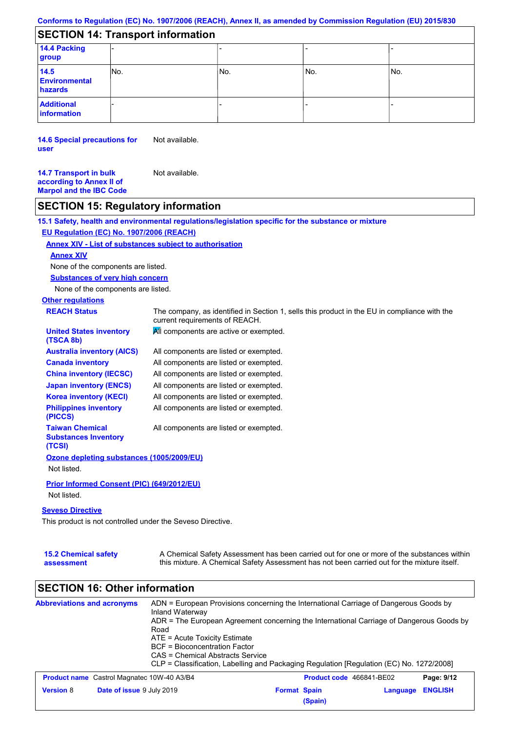# **SECTION 14: Transport information**

| 14.4 Packing<br>group                   |      |     |       |     |  |
|-----------------------------------------|------|-----|-------|-----|--|
| 14.5<br><b>Environmental</b><br>hazards | INo. | No. | l No. | No. |  |
| <b>Additional</b><br>information        |      |     |       |     |  |

**14.6 Special precautions for user** Not available.

**14.7 Transport in bulk according to Annex II of Marpol and the IBC Code** Not available.

## **SECTION 15: Regulatory information**

**15.1 Safety, health and environmental regulations/legislation specific for the substance or mixture**

### **EU Regulation (EC) No. 1907/2006 (REACH)**

#### **Annex XIV - List of substances subject to authorisation**

#### **Annex XIV**

None of the components are listed.

**Substances of very high concern**

None of the components are listed.

# **Other regulations**

| <b>REACH Status</b>                                             | The company, as identified in Section 1, sells this product in the EU in compliance with the<br>current requirements of REACH. |
|-----------------------------------------------------------------|--------------------------------------------------------------------------------------------------------------------------------|
| <b>United States inventory</b><br>(TSCA 8b)                     | All components are active or exempted.                                                                                         |
| <b>Australia inventory (AICS)</b>                               | All components are listed or exempted.                                                                                         |
| <b>Canada inventory</b>                                         | All components are listed or exempted.                                                                                         |
| <b>China inventory (IECSC)</b>                                  | All components are listed or exempted.                                                                                         |
| <b>Japan inventory (ENCS)</b>                                   | All components are listed or exempted.                                                                                         |
| <b>Korea inventory (KECI)</b>                                   | All components are listed or exempted.                                                                                         |
| <b>Philippines inventory</b><br>(PICCS)                         | All components are listed or exempted.                                                                                         |
| <b>Taiwan Chemical</b><br><b>Substances Inventory</b><br>(TCSI) | All components are listed or exempted.                                                                                         |
| Ozone depleting substances (1005/2009/EU)                       |                                                                                                                                |
| Not listed.                                                     |                                                                                                                                |
| <b>Prior Informed Consent (PIC) (649/2012/EU)</b>               |                                                                                                                                |
| Not listed.                                                     |                                                                                                                                |

#### **Seveso Directive**

This product is not controlled under the Seveso Directive.

| <b>15.2 Chemical safety</b> | A Chemical Safety Assessment has been carried out for one or more of the substances within  |
|-----------------------------|---------------------------------------------------------------------------------------------|
| assessment                  | this mixture. A Chemical Safety Assessment has not been carried out for the mixture itself. |

# **SECTION 16: Other information**

| <b>Abbreviations and acronyms</b> | Inland Waterway<br>Road                           | ADN = European Provisions concerning the International Carriage of Dangerous Goods by<br>ADR = The European Agreement concerning the International Carriage of Dangerous Goods by<br>ATE = Acute Toxicity Estimate<br>BCF = Bioconcentration Factor<br>CAS = Chemical Abstracts Service<br>CLP = Classification, Labelling and Packaging Regulation [Regulation (EC) No. 1272/2008] |         |                                 |                |
|-----------------------------------|---------------------------------------------------|-------------------------------------------------------------------------------------------------------------------------------------------------------------------------------------------------------------------------------------------------------------------------------------------------------------------------------------------------------------------------------------|---------|---------------------------------|----------------|
|                                   | <b>Product name</b> Castrol Magnatec 10W-40 A3/B4 |                                                                                                                                                                                                                                                                                                                                                                                     |         | <b>Product code</b> 466841-BE02 | Page: 9/12     |
| <b>Version 8</b>                  | Date of issue 9 July 2019                         | <b>Format Spain</b>                                                                                                                                                                                                                                                                                                                                                                 | (Spain) | Language                        | <b>ENGLISH</b> |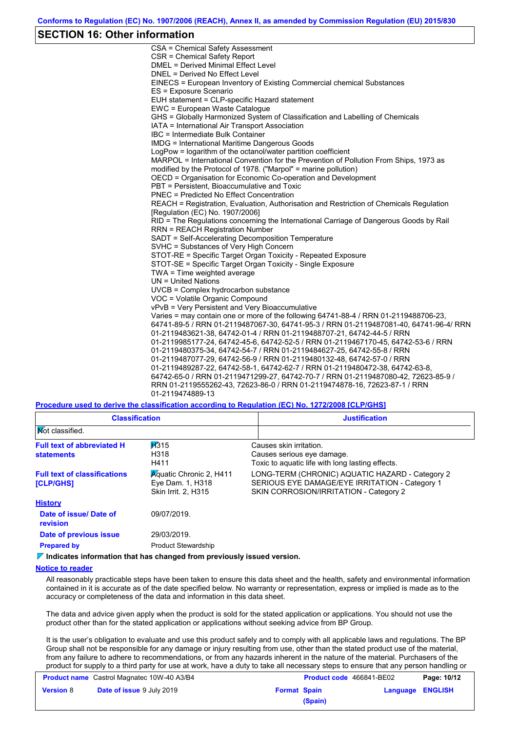### **SECTION 16: Other information**

CSA = Chemical Safety Assessment CSR = Chemical Safety Report DMEL = Derived Minimal Effect Level DNEL = Derived No Effect Level EINECS = European Inventory of Existing Commercial chemical Substances ES = Exposure Scenario EUH statement = CLP-specific Hazard statement EWC = European Waste Catalogue GHS = Globally Harmonized System of Classification and Labelling of Chemicals IATA = International Air Transport Association IBC = Intermediate Bulk Container IMDG = International Maritime Dangerous Goods LogPow = logarithm of the octanol/water partition coefficient MARPOL = International Convention for the Prevention of Pollution From Ships, 1973 as modified by the Protocol of 1978. ("Marpol" = marine pollution) OECD = Organisation for Economic Co-operation and Development PBT = Persistent, Bioaccumulative and Toxic PNEC = Predicted No Effect Concentration REACH = Registration, Evaluation, Authorisation and Restriction of Chemicals Regulation [Regulation (EC) No. 1907/2006] RID = The Regulations concerning the International Carriage of Dangerous Goods by Rail RRN = REACH Registration Number SADT = Self-Accelerating Decomposition Temperature SVHC = Substances of Very High Concern STOT-RE = Specific Target Organ Toxicity - Repeated Exposure STOT-SE = Specific Target Organ Toxicity - Single Exposure TWA = Time weighted average UN = United Nations UVCB = Complex hydrocarbon substance VOC = Volatile Organic Compound vPvB = Very Persistent and Very Bioaccumulative Varies = may contain one or more of the following 64741-88-4 / RRN 01-2119488706-23, 64741-89-5 / RRN 01-2119487067-30, 64741-95-3 / RRN 01-2119487081-40, 64741-96-4/ RRN 01-2119483621-38, 64742-01-4 / RRN 01-2119488707-21, 64742-44-5 / RRN 01-2119985177-24, 64742-45-6, 64742-52-5 / RRN 01-2119467170-45, 64742-53-6 / RRN 01-2119480375-34, 64742-54-7 / RRN 01-2119484627-25, 64742-55-8 / RRN 01-2119487077-29, 64742-56-9 / RRN 01-2119480132-48, 64742-57-0 / RRN 01-2119489287-22, 64742-58-1, 64742-62-7 / RRN 01-2119480472-38, 64742-63-8, 64742-65-0 / RRN 01-2119471299-27, 64742-70-7 / RRN 01-2119487080-42, 72623-85-9 / RRN 01-2119555262-43, 72623-86-0 / RRN 01-2119474878-16, 72623-87-1 / RRN 01-2119474889-13

**Procedure used to derive the classification according to Regulation (EC) No. 1272/2008 [CLP/GHS]**

| <b>Classification</b>                                                     | <b>Justification</b>                                                                                                                        |
|---------------------------------------------------------------------------|---------------------------------------------------------------------------------------------------------------------------------------------|
|                                                                           |                                                                                                                                             |
| H315<br>H318<br>H411                                                      | Causes skin irritation.<br>Causes serious eye damage.<br>Toxic to aguatic life with long lasting effects.                                   |
| <b>Aguatic Chronic 2, H411</b><br>Eye Dam. 1, H318<br>Skin Irrit. 2, H315 | LONG-TERM (CHRONIC) AQUATIC HAZARD - Category 2<br>SERIOUS EYE DAMAGE/EYE IRRITATION - Category 1<br>SKIN CORROSION/IRRITATION - Category 2 |
|                                                                           |                                                                                                                                             |
| 09/07/2019.                                                               |                                                                                                                                             |
| 29/03/2019.                                                               |                                                                                                                                             |
| <b>Product Stewardship</b>                                                |                                                                                                                                             |
|                                                                           | <u> and and and and and and and and and an</u>                                                                                              |

**Indicates information that has changed from previously issued version.**

#### **Notice to reader**

All reasonably practicable steps have been taken to ensure this data sheet and the health, safety and environmental information contained in it is accurate as of the date specified below. No warranty or representation, express or implied is made as to the accuracy or completeness of the data and information in this data sheet.

The data and advice given apply when the product is sold for the stated application or applications. You should not use the product other than for the stated application or applications without seeking advice from BP Group.

It is the user's obligation to evaluate and use this product safely and to comply with all applicable laws and regulations. The BP Group shall not be responsible for any damage or injury resulting from use, other than the stated product use of the material, from any failure to adhere to recommendations, or from any hazards inherent in the nature of the material. Purchasers of the product for supply to a third party for use at work, have a duty to take all necessary steps to ensure that any person handling or

| <b>Product name</b> Castrol Magnatec 10W-40 A3/B4 |                                  | <b>Product code</b> 466841-BE02 |         | Page: 10/12      |  |
|---------------------------------------------------|----------------------------------|---------------------------------|---------|------------------|--|
| <b>Version 8</b>                                  | <b>Date of issue 9 July 2019</b> | <b>Format Spain</b>             |         | Language ENGLISH |  |
|                                                   |                                  |                                 | (Spain) |                  |  |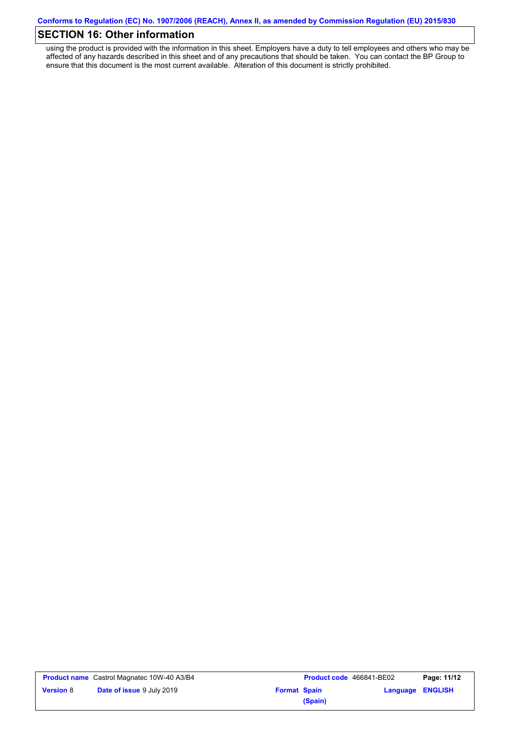# **SECTION 16: Other information**

using the product is provided with the information in this sheet. Employers have a duty to tell employees and others who may be affected of any hazards described in this sheet and of any precautions that should be taken. You can contact the BP Group to ensure that this document is the most current available. Alteration of this document is strictly prohibited.

|           | <b>Product name</b> Castrol Magnatec 10W-40 A3/B4 |                     | <b>Product code</b> 466841-BE02 |                  | Page: 11/12 |
|-----------|---------------------------------------------------|---------------------|---------------------------------|------------------|-------------|
| Version 8 | <b>Date of issue 9 July 2019</b>                  | <b>Format Spain</b> |                                 | Language ENGLISH |             |
|           |                                                   |                     | (Spain)                         |                  |             |